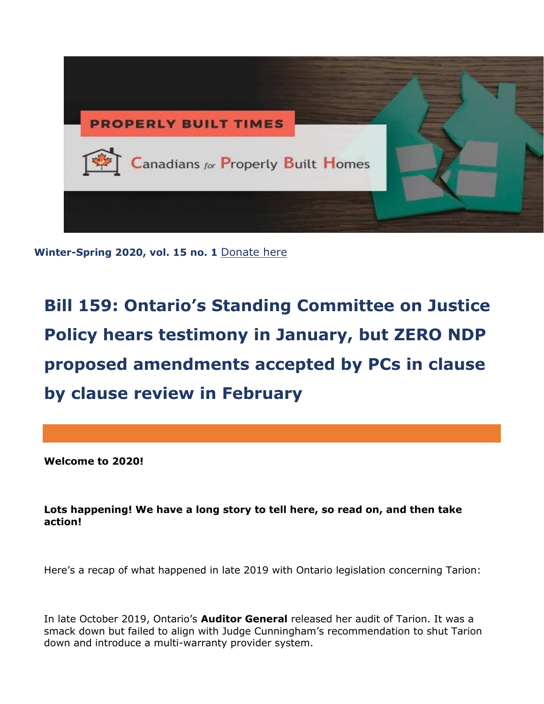

**Winter-Spring 2020, vol. 15 no. 1** [Donate here](http://canadiansforproperlybuilthomes.com/what-you-can-do/donate/)

**Bill 159: Ontario's Standing Committee on Justice Policy hears testimony in January, but ZERO NDP proposed amendments accepted by PCs in clause by clause review in February**

**Welcome to 2020!**

**Lots happening! We have a long story to tell here, so read on, and then take action!**

Here's a recap of what happened in late 2019 with Ontario legislation concerning Tarion:

In late October 2019, Ontario's **Auditor General** released her audit of Tarion. It was a smack down but failed to align with Judge Cunningham's recommendation to shut Tarion down and introduce a multi-warranty provider system.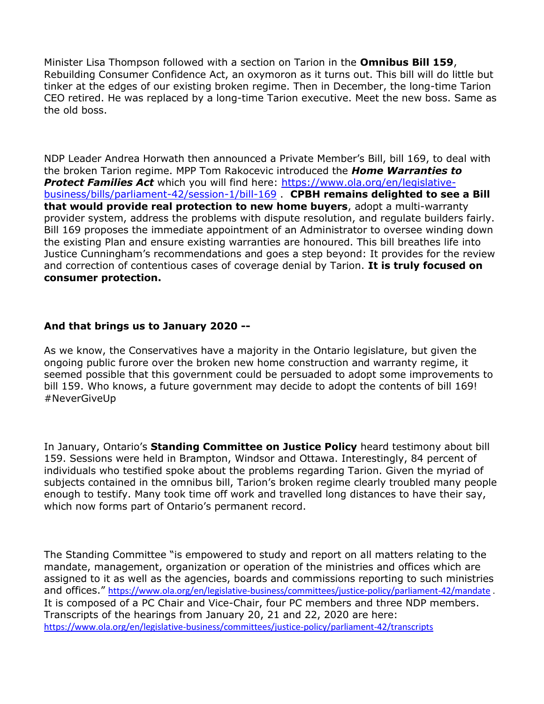Minister Lisa Thompson followed with a section on Tarion in the **Omnibus Bill 159**, Rebuilding Consumer Confidence Act, an oxymoron as it turns out. This bill will do little but tinker at the edges of our existing broken regime. Then in December, the long-time Tarion CEO retired. He was replaced by a long-time Tarion executive. Meet the new boss. Same as the old boss.

NDP Leader Andrea Horwath then announced a Private Member's Bill, bill 169, to deal with the broken Tarion regime. MPP Tom Rakocevic introduced the *Home Warranties to Protect Families Act* which you will find here: [https://www.ola.org/en/legislative](https://www.ola.org/en/legislative-business/bills/parliament-42/session-1/bill-169)[business/bills/parliament-42/session-1/bill-169](https://www.ola.org/en/legislative-business/bills/parliament-42/session-1/bill-169) . **CPBH remains delighted to see a Bill that would provide real protection to new home buyers**, adopt a multi-warranty provider system, address the problems with dispute resolution, and regulate builders fairly. Bill 169 proposes the immediate appointment of an Administrator to oversee winding down the existing Plan and ensure existing warranties are honoured. This bill breathes life into Justice Cunningham's recommendations and goes a step beyond: It provides for the review and correction of contentious cases of coverage denial by Tarion. **It is truly focused on consumer protection.**

### **And that brings us to January 2020 --**

As we know, the Conservatives have a majority in the Ontario legislature, but given the ongoing public furore over the broken new home construction and warranty regime, it seemed possible that this government could be persuaded to adopt some improvements to bill 159. Who knows, a future government may decide to adopt the contents of bill 169! #NeverGiveUp

In January, Ontario's **Standing Committee on Justice Policy** heard testimony about bill 159. Sessions were held in Brampton, Windsor and Ottawa. Interestingly, 84 percent of individuals who testified spoke about the problems regarding Tarion. Given the myriad of subjects contained in the omnibus bill, Tarion's broken regime clearly troubled many people enough to testify. Many took time off work and travelled long distances to have their say, which now forms part of Ontario's permanent record.

The Standing Committee "is empowered to study and report on all matters relating to the mandate, management, organization or operation of the ministries and offices which are assigned to it as well as the agencies, boards and commissions reporting to such ministries and offices." <https://www.ola.org/en/legislative-business/committees/justice-policy/parliament-42/mandate> . It is composed of a PC Chair and Vice-Chair, four PC members and three NDP members. Transcripts of the hearings from January 20, 21 and 22, 2020 are here: <https://www.ola.org/en/legislative-business/committees/justice-policy/parliament-42/transcripts>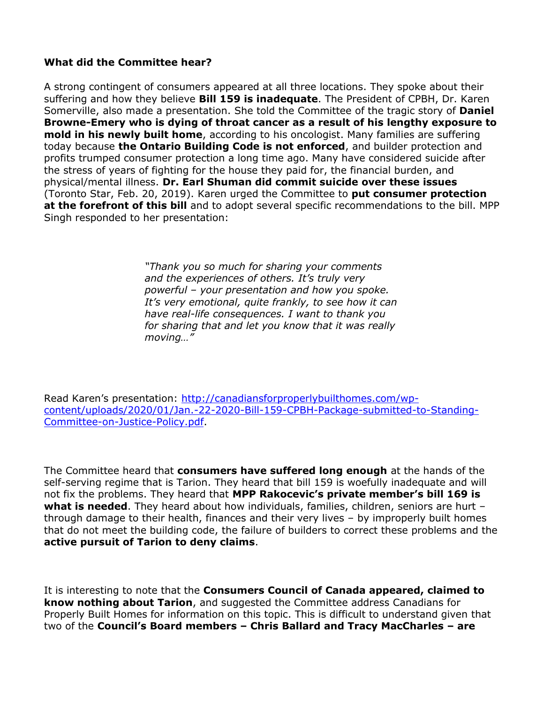### **What did the Committee hear?**

A strong contingent of consumers appeared at all three locations. They spoke about their suffering and how they believe **Bill 159 is inadequate**. The President of CPBH, Dr. Karen Somerville, also made a presentation. She told the Committee of the tragic story of **Daniel Browne-Emery who is dying of throat cancer as a result of his lengthy exposure to mold in his newly built home**, according to his oncologist. Many families are suffering today because **the Ontario Building Code is not enforced**, and builder protection and profits trumped consumer protection a long time ago. Many have considered suicide after the stress of years of fighting for the house they paid for, the financial burden, and physical/mental illness. **Dr. Earl Shuman did commit suicide over these issues** (Toronto Star, Feb. 20, 2019). Karen urged the Committee to **put consumer protection at the forefront of this bill** and to adopt several specific recommendations to the bill. MPP Singh responded to her presentation:

> *"Thank you so much for sharing your comments and the experiences of others. It's truly very powerful – your presentation and how you spoke. It's very emotional, quite frankly, to see how it can have real-life consequences. I want to thank you for sharing that and let you know that it was really moving…"*

Read Karen's presentation: [http://canadiansforproperlybuilthomes.com/wp](http://canadiansforproperlybuilthomes.com/wp-content/uploads/2020/01/Jan.-22-2020-Bill-159-CPBH-Package-submitted-to-Standing-Committee-on-Justice-Policy.pdf)[content/uploads/2020/01/Jan.-22-2020-Bill-159-CPBH-Package-submitted-to-Standing-](http://canadiansforproperlybuilthomes.com/wp-content/uploads/2020/01/Jan.-22-2020-Bill-159-CPBH-Package-submitted-to-Standing-Committee-on-Justice-Policy.pdf)[Committee-on-Justice-Policy.pdf.](http://canadiansforproperlybuilthomes.com/wp-content/uploads/2020/01/Jan.-22-2020-Bill-159-CPBH-Package-submitted-to-Standing-Committee-on-Justice-Policy.pdf)

The Committee heard that **consumers have suffered long enough** at the hands of the self-serving regime that is Tarion. They heard that bill 159 is woefully inadequate and will not fix the problems. They heard that **MPP Rakocevic's private member's bill 169 is what is needed**. They heard about how individuals, families, children, seniors are hurt – through damage to their health, finances and their very lives – by improperly built homes that do not meet the building code, the failure of builders to correct these problems and the **active pursuit of Tarion to deny claims**.

It is interesting to note that the **Consumers Council of Canada appeared, claimed to know nothing about Tarion**, and suggested the Committee address Canadians for Properly Built Homes for information on this topic. This is difficult to understand given that two of the **Council's Board members – Chris Ballard and Tracy MacCharles – are**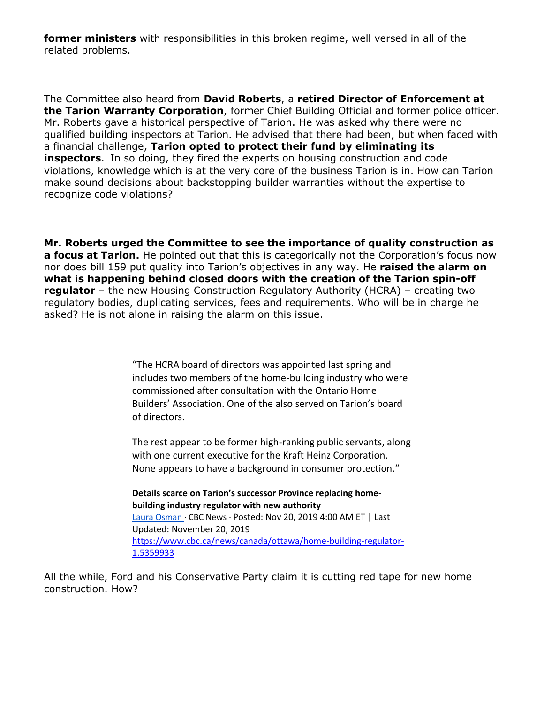**former ministers** with responsibilities in this broken regime, well versed in all of the related problems.

The Committee also heard from **David Roberts**, a **retired Director of Enforcement at the Tarion Warranty Corporation**, former Chief Building Official and former police officer. Mr. Roberts gave a historical perspective of Tarion. He was asked why there were no qualified building inspectors at Tarion. He advised that there had been, but when faced with a financial challenge, **Tarion opted to protect their fund by eliminating its inspectors**. In so doing, they fired the experts on housing construction and code violations, knowledge which is at the very core of the business Tarion is in. How can Tarion make sound decisions about backstopping builder warranties without the expertise to recognize code violations?

**Mr. Roberts urged the Committee to see the importance of quality construction as a focus at Tarion.** He pointed out that this is categorically not the Corporation's focus now nor does bill 159 put quality into Tarion's objectives in any way. He **raised the alarm on what is happening behind closed doors with the creation of the Tarion spin-off regulator** – the new Housing Construction Regulatory Authority (HCRA) – creating two regulatory bodies, duplicating services, fees and requirements. Who will be in charge he asked? He is not alone in raising the alarm on this issue.

> "The HCRA board of directors was appointed last spring and includes two members of the home-building industry who were commissioned after consultation with the Ontario Home Builders' Association. One of the also served on Tarion's board of directors.

> The rest appear to be former high-ranking public servants, along with one current executive for the Kraft Heinz Corporation. None appears to have a background in consumer protection."

**Details scarce on Tarion's successor Province replacing homebuilding industry regulator with new authority** [Laura Osman](https://www.cbc.ca/news/canada/ottawa/laura-osman-1.3389163) · CBC News · Posted: Nov 20, 2019 4:00 AM ET | Last Updated: November 20, 2019 [https://www.cbc.ca/news/canada/ottawa/home-building-regulator-](https://www.cbc.ca/news/canada/ottawa/home-building-regulator-1.5359933)[1.5359933](https://www.cbc.ca/news/canada/ottawa/home-building-regulator-1.5359933)

All the while, Ford and his Conservative Party claim it is cutting red tape for new home construction. How?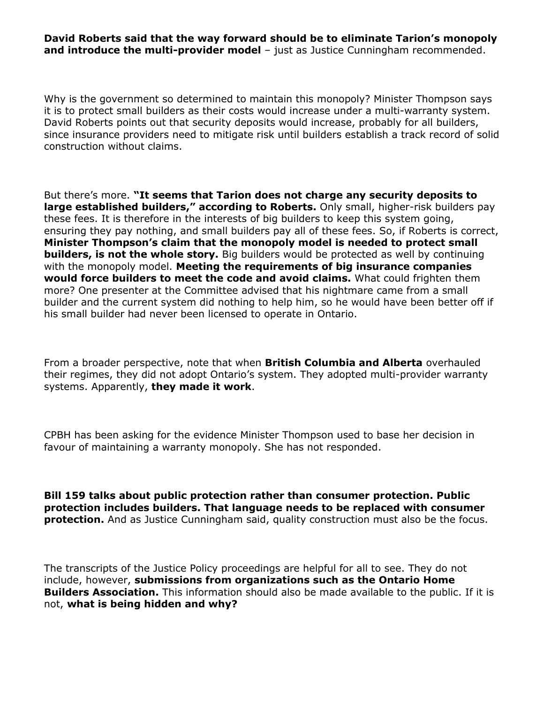#### **David Roberts said that the way forward should be to eliminate Tarion's monopoly and introduce the multi-provider model** – just as Justice Cunningham recommended.

Why is the government so determined to maintain this monopoly? Minister Thompson says it is to protect small builders as their costs would increase under a multi-warranty system. David Roberts points out that security deposits would increase, probably for all builders, since insurance providers need to mitigate risk until builders establish a track record of solid construction without claims.

But there's more. **"It seems that Tarion does not charge any security deposits to large established builders," according to Roberts.** Only small, higher-risk builders pay these fees. It is therefore in the interests of big builders to keep this system going, ensuring they pay nothing, and small builders pay all of these fees. So, if Roberts is correct, **Minister Thompson's claim that the monopoly model is needed to protect small builders, is not the whole story.** Big builders would be protected as well by continuing with the monopoly model. **Meeting the requirements of big insurance companies would force builders to meet the code and avoid claims.** What could frighten them more? One presenter at the Committee advised that his nightmare came from a small builder and the current system did nothing to help him, so he would have been better off if his small builder had never been licensed to operate in Ontario.

From a broader perspective, note that when **British Columbia and Alberta** overhauled their regimes, they did not adopt Ontario's system. They adopted multi-provider warranty systems. Apparently, **they made it work**.

CPBH has been asking for the evidence Minister Thompson used to base her decision in favour of maintaining a warranty monopoly. She has not responded.

**Bill 159 talks about public protection rather than consumer protection. Public protection includes builders. That language needs to be replaced with consumer protection.** And as Justice Cunningham said, quality construction must also be the focus.

The transcripts of the Justice Policy proceedings are helpful for all to see. They do not include, however, **submissions from organizations such as the Ontario Home Builders Association.** This information should also be made available to the public. If it is not, **what is being hidden and why?**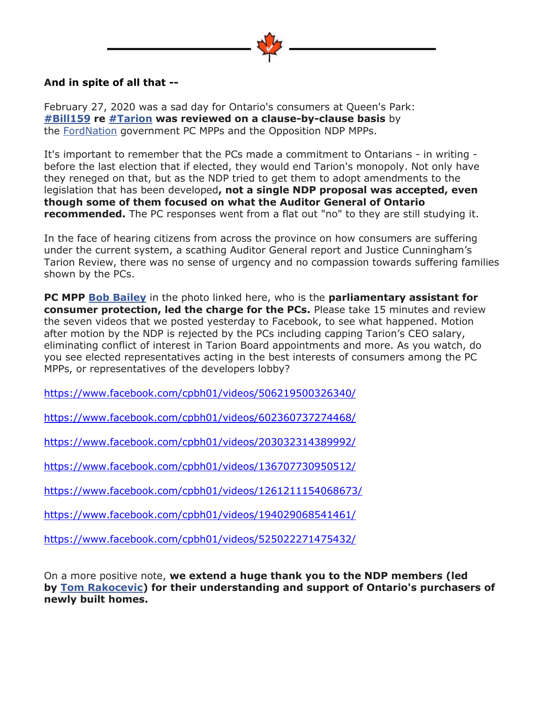## **And in spite of all that --**

February 27, 2020 was a sad day for Ontario's consumers at Queen's Park: **[#Bill159](https://www.facebook.com/hashtag/bill159?epa=HASHTAG) re [#Tarion](https://www.facebook.com/hashtag/tarion?epa=HASHTAG) was reviewed on a clause-by-clause basis** by the [FordNation](https://www.facebook.com/FordNationDougFord/?__tn__=%2CdK%2AF-R&eid=ARAupvNqygHSVKZ4-R8t8ZfnovyV5-68LDHQMlWwb7d3d_7SCXMmmHi-54jx_qh9pyzKPGGaIYYjzJsL) government PC MPPs and the Opposition NDP MPPs.

It's important to remember that the PCs made a commitment to Ontarians - in writing before the last election that if elected, they would end Tarion's monopoly. Not only have they reneged on that, but as the NDP tried to get them to adopt amendments to the legislation that has been developed**, not a single NDP proposal was accepted, even though some of them focused on what the Auditor General of Ontario recommended.** The PC responses went from a flat out "no" to they are still studying it.

In the face of hearing citizens from across the province on how consumers are suffering under the current system, a scathing Auditor General report and Justice Cunningham's Tarion Review, there was no sense of urgency and no compassion towards suffering families shown by the PCs.

**PC MPP [Bob Bailey](https://www.facebook.com/cpbh01/photos/a.1614620535421539/2518138721736378/?type=3&theater)** in the photo linked here, who is the **parliamentary assistant for consumer protection, led the charge for the PCs.** Please take 15 minutes and review the seven videos that we posted yesterday to Facebook, to see what happened. Motion after motion by the NDP is rejected by the PCs including capping Tarion's CEO salary, eliminating conflict of interest in Tarion Board appointments and more. As you watch, do you see elected representatives acting in the best interests of consumers among the PC MPPs, or representatives of the developers lobby?

<https://www.facebook.com/cpbh01/videos/506219500326340/>

<https://www.facebook.com/cpbh01/videos/602360737274468/>

<https://www.facebook.com/cpbh01/videos/203032314389992/>

<https://www.facebook.com/cpbh01/videos/136707730950512/>

<https://www.facebook.com/cpbh01/videos/1261211154068673/>

<https://www.facebook.com/cpbh01/videos/194029068541461/>

<https://www.facebook.com/cpbh01/videos/525022271475432/>

On a more positive note, **we extend a huge thank you to the NDP members (led by [Tom Rakocevic\)](https://www.facebook.com/TomRakocevic/?__tn__=%2CdK%2AF-R&eid=ARCZSWNzR6M0t6vWSFa4S9B7bQ7gWCW731FkrXqkEFGR_-WNKOFGCNj1RtXIMnef1Ma4rn-qXH2bfrfB) for their understanding and support of Ontario's purchasers of newly built homes.**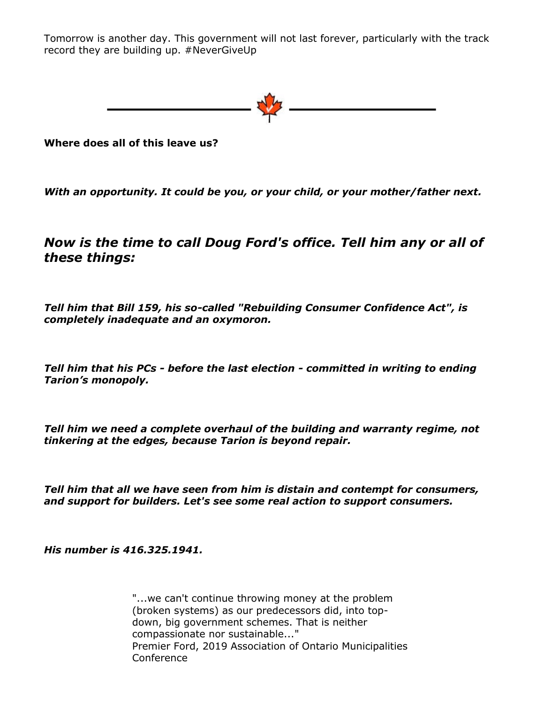Tomorrow is another day. This government will not last forever, particularly with the track record they are building up. #NeverGiveUp



**Where does all of this leave us?**

*With an opportunity. It could be you, or your child, or your mother/father next.*

# *Now is the time to call Doug Ford's office. Tell him any or all of these things:*

*Tell him that Bill 159, his so-called "Rebuilding Consumer Confidence Act", is completely inadequate and an oxymoron.*

*Tell him that his PCs - before the last election - committed in writing to ending Tarion's monopoly.*

*Tell him we need a complete overhaul of the building and warranty regime, not tinkering at the edges, because Tarion is beyond repair.*

*Tell him that all we have seen from him is distain and contempt for consumers, and support for builders. Let's see some real action to support consumers.*

*His number is 416.325.1941.*

"...we can't continue throwing money at the problem (broken systems) as our predecessors did, into topdown, big government schemes. That is neither compassionate nor sustainable..." Premier Ford, 2019 Association of Ontario Municipalities Conference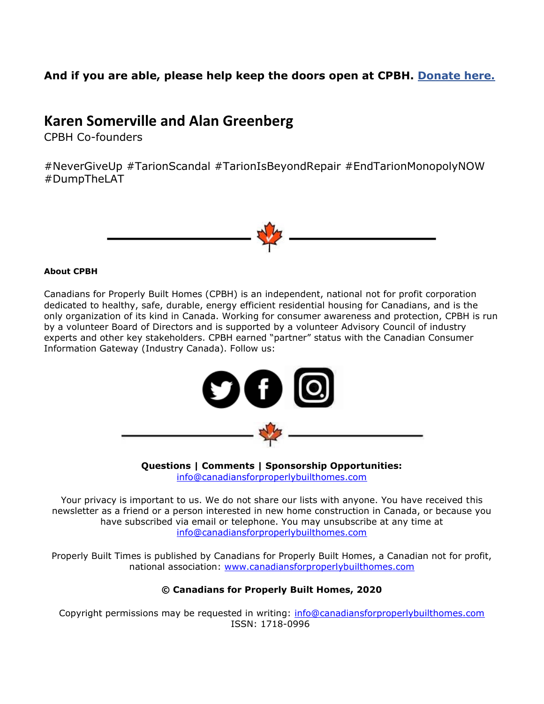## **And if you are able, please help keep the doors open at CPBH. [Donate here.](http://canadiansforproperlybuilthomes.com/what-you-can-do/donate/)**

# **Karen Somerville and Alan Greenberg**

CPBH Co-founders

#NeverGiveUp #TarionScandal #TarionIsBeyondRepair #EndTarionMonopolyNOW #DumpTheLAT



#### **About CPBH**

Canadians for Properly Built Homes (CPBH) is an independent, national not for profit corporation dedicated to healthy, safe, durable, energy efficient residential housing for Canadians, and is the only organization of its kind in Canada. Working for consumer awareness and protection, CPBH is run by a volunteer Board of Directors and is supported by a volunteer Advisory Council of industry experts and other key stakeholders. CPBH earned "partner" status with the Canadian Consumer Information Gateway (Industry Canada). Follow us:



**Questions | Comments | Sponsorship Opportunities:** [info@canadiansforproperlybuilthomes.com](mailto:info@canadiansforproperlybuilthomes.com)

Your privacy is important to us. We do not share our lists with anyone. You have received this newsletter as a friend or a person interested in new home construction in Canada, or because you have subscribed via email or telephone. You may unsubscribe at any time at [info@canadiansforproperlybuilthomes.com](mailto:info@canadiansforproperlybuilthomes.com)

Properly Built Times is published by Canadians for Properly Built Homes, a Canadian not for profit, national association: [www.canadiansforproperlybuilthomes.com](http://www.canadiansforproperlybuilthomes.com/)

#### **© Canadians for Properly Built Homes, 2020**

Copyright permissions may be requested in writing: [info@canadiansforproperlybuilthomes.com](mailto:info@canadiansforproperlybuilthomes.com) ISSN: 1718-0996